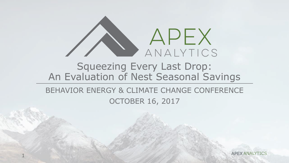

#### Squeezing Every Last Drop: An Evaluation of Nest Seasonal Savings

#### BEHAVIOR ENERGY & CLIMATE CHANGE CONFERENCE OCTOBER 16, 2017

1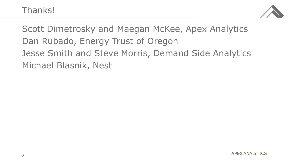

Scott Dimetrosky and Maegan McKee, Apex Analytics Dan Rubado, Energy Trust of Oregon Jesse Smith and Steve Morris, Demand Side Analytics Michael Blasnik, Nest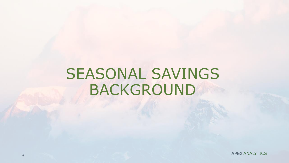### SEASONAL SAVINGS BACKGROUND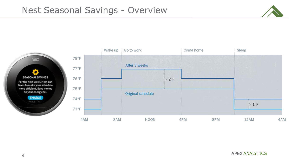

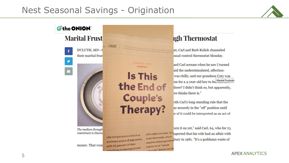#### Nest Seasonal Savings - Origination

nest



**Øthe ONION Marital Frust** 

v

 $\sim$ 

DULUTH, MN-0 their marital frust



The medium through resentment is channe

money. That won

cite temperature control as a primary source of arguments, with 42 percent of men MIN 42 person<br>Minitting to having turned

smart thermostat, which thanks to its "simple shedule," blends into t

CONNECTED, HOM

**CHAPTER 2** 

**Is This** 

the End of

**Couple's** 

**Therapy?** 

#### **igh Thermostat**

nt, Carl and Barb Kulick channeled inual-control thermostat Monday.

ard Carl scream when he saw I turned aid the understimulated, affectionwas chilly, and our grandson Cory was on for a 4-year-old boy to fel Marital Frustration there? I didn't think so, but apparently, ere thinks there is."

vith Carl's long-standing rule that the ay securely in the "off" position until se of it could be interpreted as an act of

turn it on yet," said Carl, 64, who for 25 affordable and easy-to-uspected that his wife had an affair with smart thermostat, which<br>requires zero programmin bury in 1981. "It's a goddamn waste of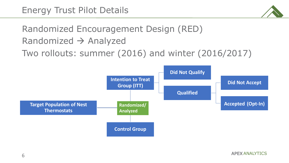

### Randomized Encouragement Design (RED) Randomized  $\rightarrow$  Analyzed

Two rollouts: summer (2016) and winter (2016/2017)

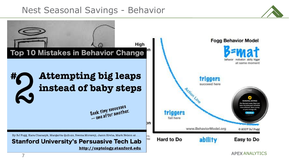#### Nest Seasonal Savings - Behavior



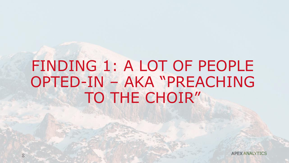## FINDING 1: A LOT OF PEOPLE OPTED-IN – AKA "PREACHING TO THE CHOIR"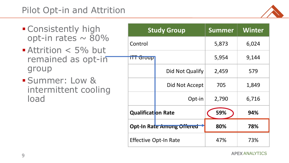

- **E** Consistently high opt-in rates  $\sim 80\%$
- **Attrition < 5% but** remained as opt-in group
- **· Summer: Low &** intermittent cooling load

| <b>Study Group</b>               |                 | <b>Summer</b> | <b>Winter</b> |
|----------------------------------|-----------------|---------------|---------------|
| Control                          |                 | 5,873         | 6,024         |
| <b>TH Group</b>                  |                 | 5,954         | 9,144         |
|                                  | Did Not Qualify | 2,459         | 579           |
|                                  | Did Not Accept  | 705           | 1,849         |
|                                  | Opt-in          | 2,790         | 6,716         |
| <b>Qualification Rate</b>        |                 | 59%           | 94%           |
| <b>Opt-In Rate Among Offered</b> |                 | 80%           | 78%           |
| <b>Effective Opt-In Rate</b>     |                 | 47%           | 73%           |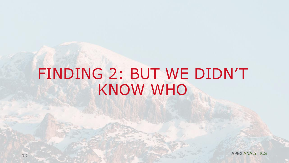## FINDING 2: BUT WE DIDN'T KNOW WHO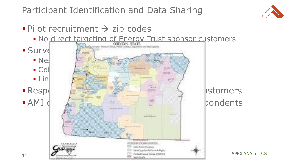

### $\blacksquare$  Pilot recruitment  $\rightarrow$  zip codes

**• No direct targeting of Energy Trust sponsor customers** 

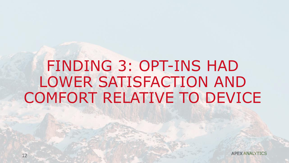## FINDING 3: OPT-INS HAD LOWER SATISFACTION AND COMFORT RELATIVE TO DEVICE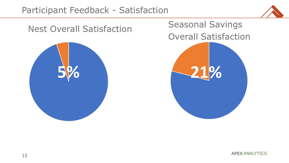#### Participant Feedback - Satisfaction





Seasonal Savings Overall Satisfaction **21%**

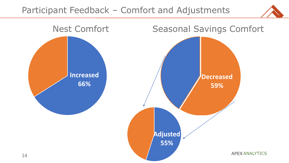

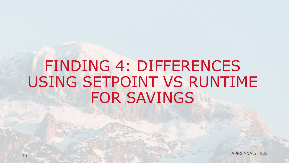### FINDING 4: DIFFERENCES USING SETPOINT VS RUNTIME FOR SAVINGS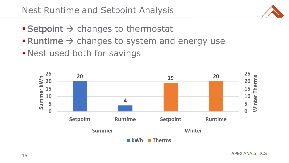- $\blacksquare$  Setpoint  $\rightarrow$  changes to thermostat
- $\blacksquare$  Runtime  $\rightarrow$  changes to system and energy use
- **Example 1 Nest used both for savings**

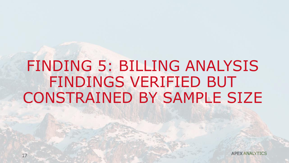## FINDING 5: BILLING ANALYSIS FINDINGS VERIFIED BUT CONSTRAINED BY SAMPLE SIZE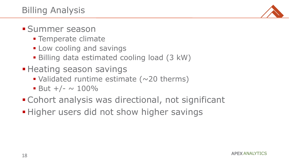

#### **• Summer season**

- **Example Field Temperate climate**
- **ELOW cooling and savings**
- **Billing data estimated cooling load (3 kW)**
- **Example 3 Heating season savings** 
	- $\blacksquare$  Validated runtime estimate ( $\sim$ 20 therms)
	- $\blacksquare$  But +/-  $\sim$  100%
- **Example 2** Cohort analysis was directional, not significant
- **.** Higher users did not show higher savings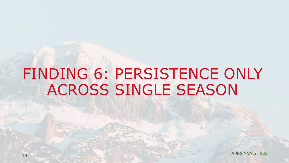## FINDING 6: PERSISTENCE ONLY ACROSS SINGLE SEASON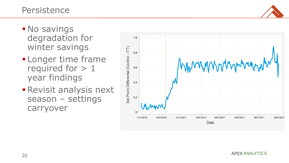

- **No savings** degradation for winter savings
- **ELonger time frame** required for > 1 year findings
- **Revisit analysis next** season – settings carryover

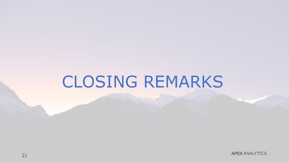# CLOSING REMARKS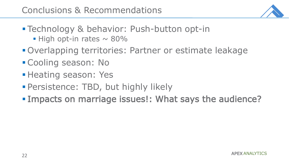

- **Example of Selian Example 1:** Push-button opt-in  $\blacksquare$  High opt-in rates  $\sim$  80%
- Overlapping territories: Partner or estimate leakage
- Cooling season: No
- **E** Heating season: Yes
- **Persistence: TBD, but highly likely**
- Impacts on marriage issues!: What says the audience?